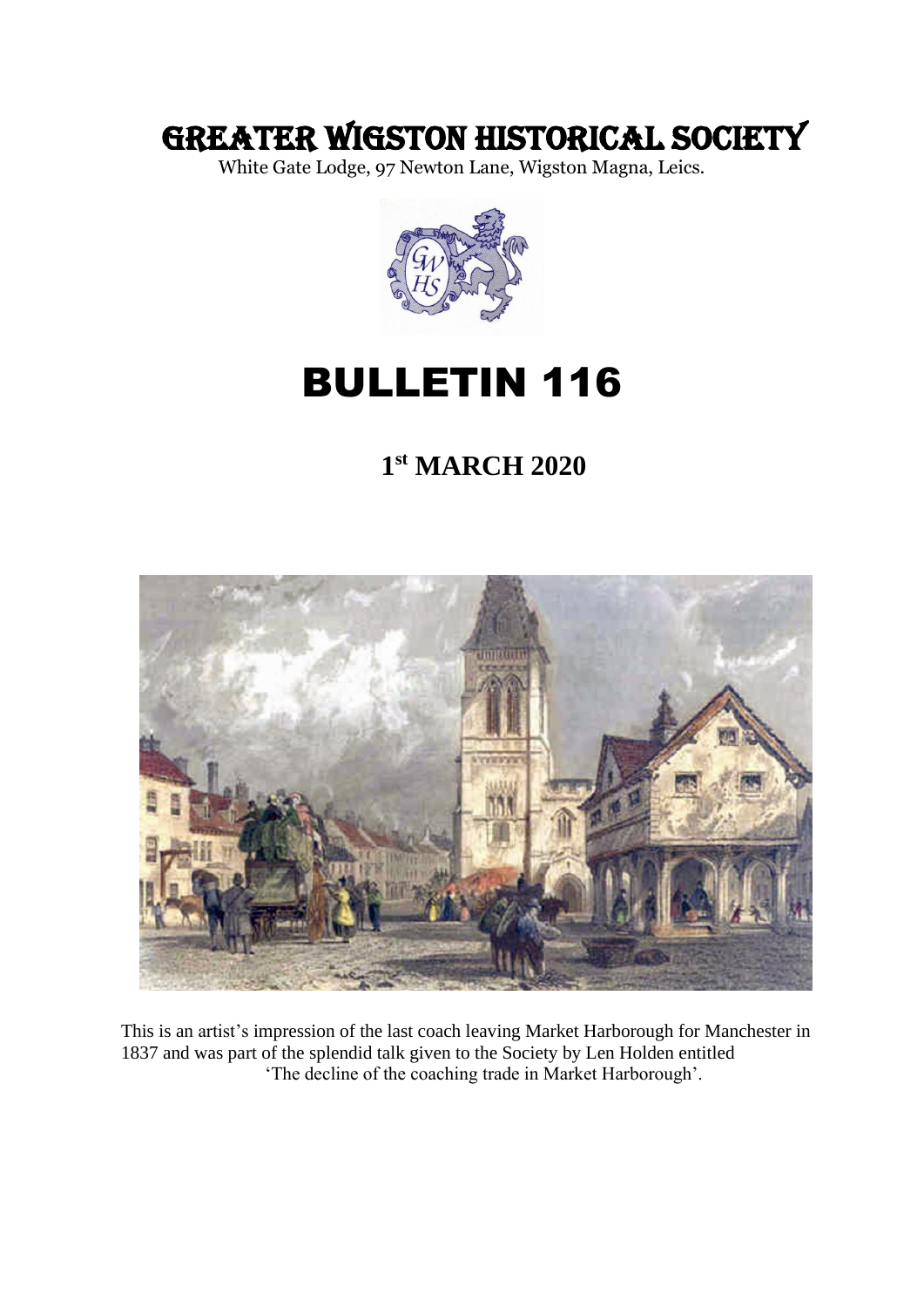# GREATER WIGSTON HISTORICAL SOCIETY

White Gate Lodge, 97 Newton Lane, Wigston Magna, Leics.



# BULLETIN 116

# **1 st MARCH 2020**



This is an artist's impression of the last coach leaving Market Harborough for Manchester in 1837 and was part of the splendid talk given to the Society by Len Holden entitled 'The decline of the coaching trade in Market Harborough'.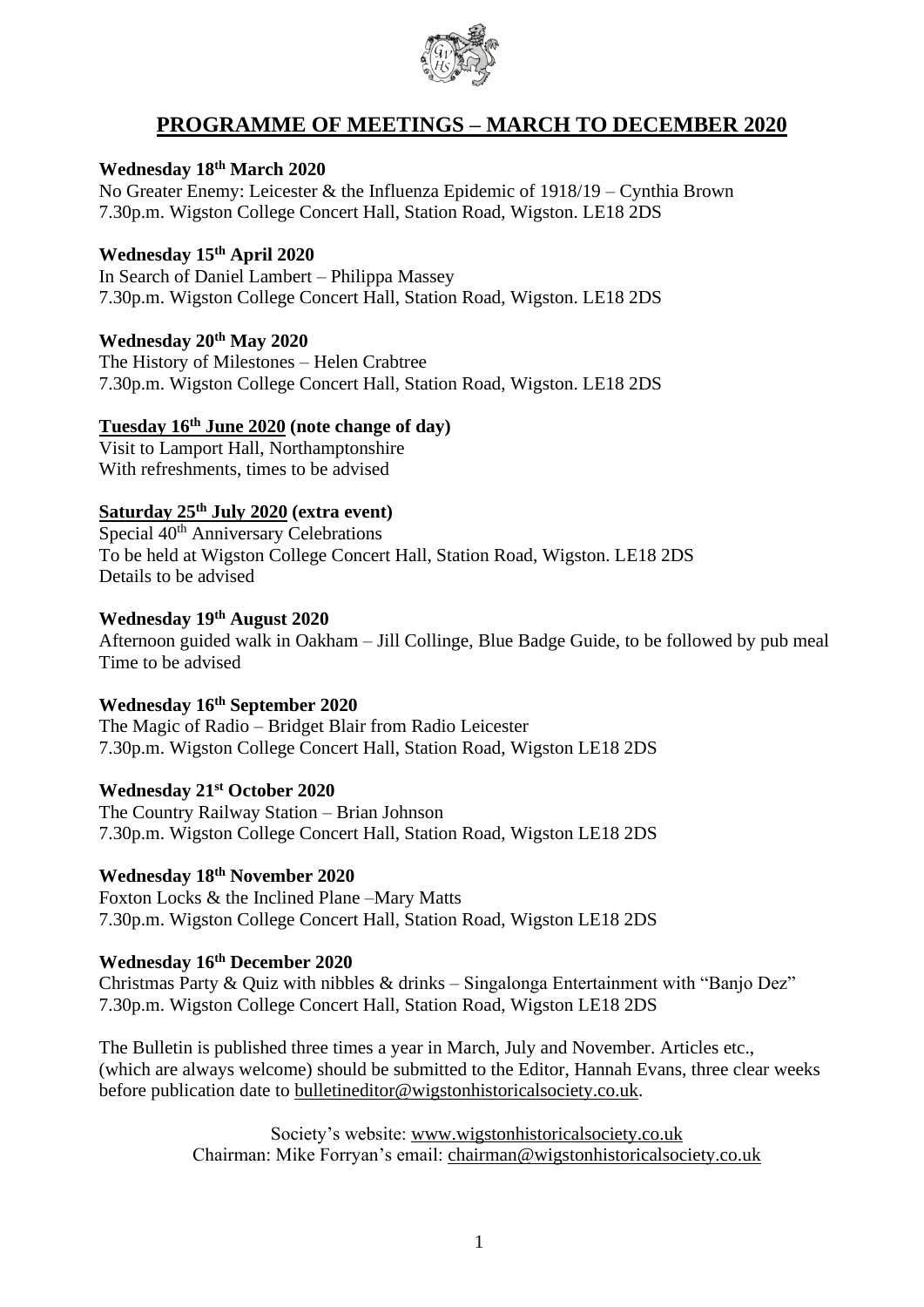

# **PROGRAMME OF MEETINGS – MARCH TO DECEMBER 2020**

#### **Wednesday 18th March 2020**

No Greater Enemy: Leicester & the Influenza Epidemic of 1918/19 – Cynthia Brown 7.30p.m. Wigston College Concert Hall, Station Road, Wigston. LE18 2DS

#### **Wednesday 15th April 2020**

In Search of Daniel Lambert – Philippa Massey 7.30p.m. Wigston College Concert Hall, Station Road, Wigston. LE18 2DS

#### **Wednesday 20th May 2020**

The History of Milestones – Helen Crabtree 7.30p.m. Wigston College Concert Hall, Station Road, Wigston. LE18 2DS

#### **Tuesday 16th June 2020 (note change of day)**

Visit to Lamport Hall, Northamptonshire With refreshments, times to be advised

#### **Saturday 25th July 2020 (extra event)**

Special 40<sup>th</sup> Anniversary Celebrations To be held at Wigston College Concert Hall, Station Road, Wigston. LE18 2DS Details to be advised

#### **Wednesday 19th August 2020**

Afternoon guided walk in Oakham – Jill Collinge, Blue Badge Guide, to be followed by pub meal Time to be advised

**Wednesday 16th September 2020**

The Magic of Radio – Bridget Blair from Radio Leicester 7.30p.m. Wigston College Concert Hall, Station Road, Wigston LE18 2DS

**Wednesday 21st October 2020** The Country Railway Station – Brian Johnson 7.30p.m. Wigston College Concert Hall, Station Road, Wigston LE18 2DS

#### **Wednesday 18th November 2020**

Foxton Locks & the Inclined Plane –Mary Matts 7.30p.m. Wigston College Concert Hall, Station Road, Wigston LE18 2DS

#### **Wednesday 16th December 2020**

Christmas Party & Quiz with nibbles & drinks – Singalonga Entertainment with "Banjo Dez" 7.30p.m. Wigston College Concert Hall, Station Road, Wigston LE18 2DS

The Bulletin is published three times a year in March, July and November. Articles etc., (which are always welcome) should be submitted to the Editor, Hannah Evans, three clear weeks before publication date to [bulletineditor@wigstonhistoricalsociety.co.uk.](mailto:bulletineditor@wigstonhistoricalsociety.co.uk)

> Society's website: [www.wigstonhistoricalsociety.co.uk](http://www.wigstonhistoricalsociety.co.uk/) Chairman: Mike Forryan's email: [chairman@wigstonhistoricalsociety.co.uk](mailto:chairman@wigstonhistoricalsociety.co.uk)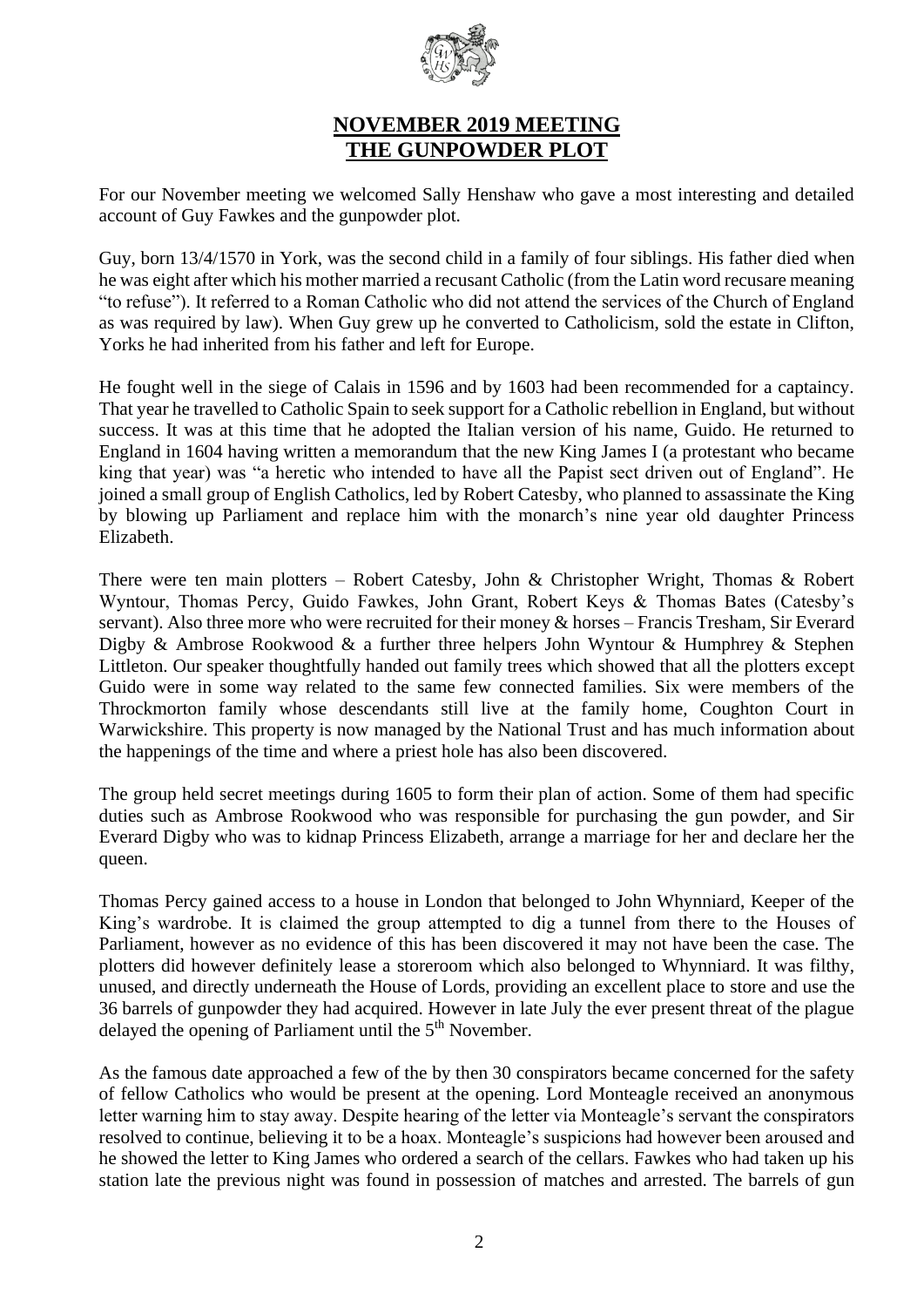

# **NOVEMBER 2019 MEETING THE GUNPOWDER PLOT**

For our November meeting we welcomed Sally Henshaw who gave a most interesting and detailed account of Guy Fawkes and the gunpowder plot.

Guy, born 13/4/1570 in York, was the second child in a family of four siblings. His father died when he was eight after which his mother married a recusant Catholic (from the Latin word recusare meaning "to refuse"). It referred to a Roman Catholic who did not attend the services of the Church of England as was required by law). When Guy grew up he converted to Catholicism, sold the estate in Clifton, Yorks he had inherited from his father and left for Europe.

He fought well in the siege of Calais in 1596 and by 1603 had been recommended for a captaincy. That year he travelled to Catholic Spain to seek support for a Catholic rebellion in England, but without success. It was at this time that he adopted the Italian version of his name, Guido. He returned to England in 1604 having written a memorandum that the new King James I (a protestant who became king that year) was "a heretic who intended to have all the Papist sect driven out of England". He joined a small group of English Catholics, led by Robert Catesby, who planned to assassinate the King by blowing up Parliament and replace him with the monarch's nine year old daughter Princess Elizabeth.

There were ten main plotters – Robert Catesby, John & Christopher Wright, Thomas & Robert Wyntour, Thomas Percy, Guido Fawkes, John Grant, Robert Keys & Thomas Bates (Catesby's servant). Also three more who were recruited for their money & horses – Francis Tresham, Sir Everard Digby & Ambrose Rookwood & a further three helpers John Wyntour & Humphrey & Stephen Littleton. Our speaker thoughtfully handed out family trees which showed that all the plotters except Guido were in some way related to the same few connected families. Six were members of the Throckmorton family whose descendants still live at the family home, Coughton Court in Warwickshire. This property is now managed by the National Trust and has much information about the happenings of the time and where a priest hole has also been discovered.

The group held secret meetings during 1605 to form their plan of action. Some of them had specific duties such as Ambrose Rookwood who was responsible for purchasing the gun powder, and Sir Everard Digby who was to kidnap Princess Elizabeth, arrange a marriage for her and declare her the queen.

Thomas Percy gained access to a house in London that belonged to John Whynniard, Keeper of the King's wardrobe. It is claimed the group attempted to dig a tunnel from there to the Houses of Parliament, however as no evidence of this has been discovered it may not have been the case. The plotters did however definitely lease a storeroom which also belonged to Whynniard. It was filthy, unused, and directly underneath the House of Lords, providing an excellent place to store and use the 36 barrels of gunpowder they had acquired. However in late July the ever present threat of the plague delayed the opening of Parliament until the 5<sup>th</sup> November.

As the famous date approached a few of the by then 30 conspirators became concerned for the safety of fellow Catholics who would be present at the opening. Lord Monteagle received an anonymous letter warning him to stay away. Despite hearing of the letter via Monteagle's servant the conspirators resolved to continue, believing it to be a hoax. Monteagle's suspicions had however been aroused and he showed the letter to King James who ordered a search of the cellars. Fawkes who had taken up his station late the previous night was found in possession of matches and arrested. The barrels of gun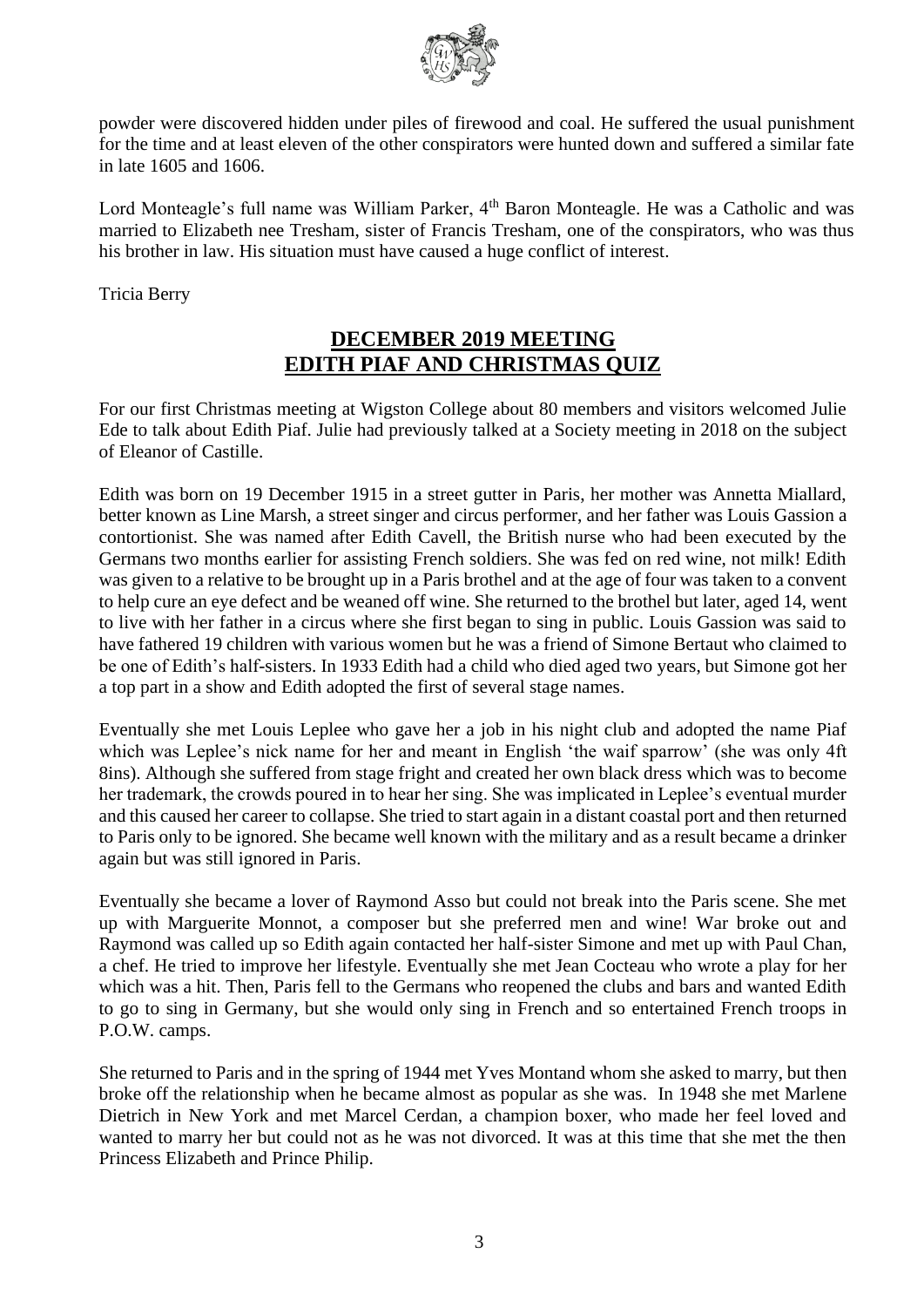

powder were discovered hidden under piles of firewood and coal. He suffered the usual punishment for the time and at least eleven of the other conspirators were hunted down and suffered a similar fate in late 1605 and 1606.

Lord Monteagle's full name was William Parker, 4<sup>th</sup> Baron Monteagle. He was a Catholic and was married to Elizabeth nee Tresham, sister of Francis Tresham, one of the conspirators, who was thus his brother in law. His situation must have caused a huge conflict of interest.

Tricia Berry

## **DECEMBER 2019 MEETING EDITH PIAF AND CHRISTMAS QUIZ**

For our first Christmas meeting at Wigston College about 80 members and visitors welcomed Julie Ede to talk about Edith Piaf. Julie had previously talked at a Society meeting in 2018 on the subject of Eleanor of Castille.

Edith was born on 19 December 1915 in a street gutter in Paris, her mother was Annetta Miallard, better known as Line Marsh, a street singer and circus performer, and her father was Louis Gassion a contortionist. She was named after Edith Cavell, the British nurse who had been executed by the Germans two months earlier for assisting French soldiers. She was fed on red wine, not milk! Edith was given to a relative to be brought up in a Paris brothel and at the age of four was taken to a convent to help cure an eye defect and be weaned off wine. She returned to the brothel but later, aged 14, went to live with her father in a circus where she first began to sing in public. Louis Gassion was said to have fathered 19 children with various women but he was a friend of Simone Bertaut who claimed to be one of Edith's half-sisters. In 1933 Edith had a child who died aged two years, but Simone got her a top part in a show and Edith adopted the first of several stage names.

Eventually she met Louis Leplee who gave her a job in his night club and adopted the name Piaf which was Leplee's nick name for her and meant in English 'the waif sparrow' (she was only 4ft 8ins). Although she suffered from stage fright and created her own black dress which was to become her trademark, the crowds poured in to hear her sing. She was implicated in Leplee's eventual murder and this caused her career to collapse. She tried to start again in a distant coastal port and then returned to Paris only to be ignored. She became well known with the military and as a result became a drinker again but was still ignored in Paris.

Eventually she became a lover of Raymond Asso but could not break into the Paris scene. She met up with Marguerite Monnot, a composer but she preferred men and wine! War broke out and Raymond was called up so Edith again contacted her half-sister Simone and met up with Paul Chan, a chef. He tried to improve her lifestyle. Eventually she met Jean Cocteau who wrote a play for her which was a hit. Then, Paris fell to the Germans who reopened the clubs and bars and wanted Edith to go to sing in Germany, but she would only sing in French and so entertained French troops in P.O.W. camps.

She returned to Paris and in the spring of 1944 met Yves Montand whom she asked to marry, but then broke off the relationship when he became almost as popular as she was. In 1948 she met Marlene Dietrich in New York and met Marcel Cerdan, a champion boxer, who made her feel loved and wanted to marry her but could not as he was not divorced. It was at this time that she met the then Princess Elizabeth and Prince Philip.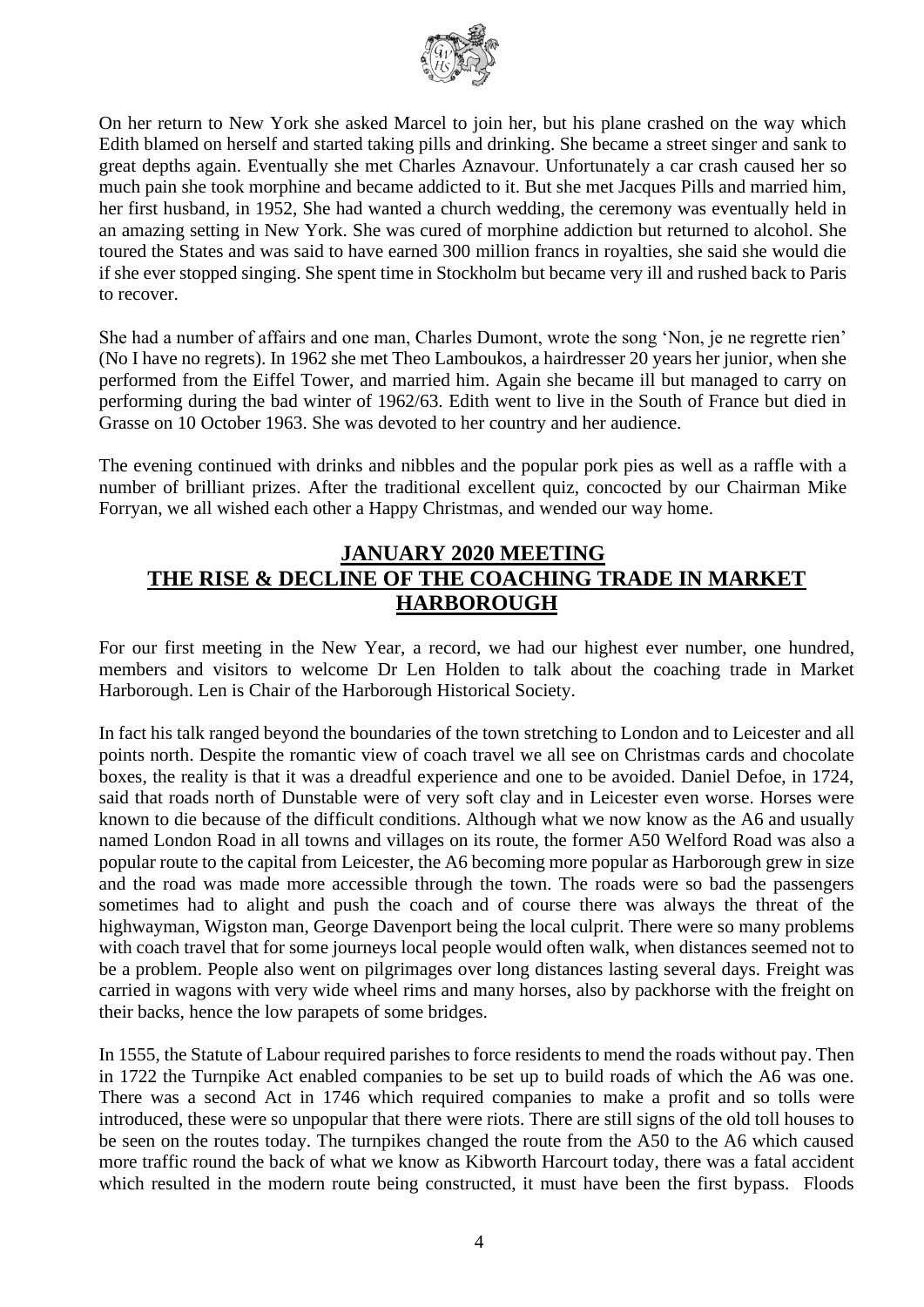

On her return to New York she asked Marcel to join her, but his plane crashed on the way which Edith blamed on herself and started taking pills and drinking. She became a street singer and sank to great depths again. Eventually she met Charles Aznavour. Unfortunately a car crash caused her so much pain she took morphine and became addicted to it. But she met Jacques Pills and married him, her first husband, in 1952, She had wanted a church wedding, the ceremony was eventually held in an amazing setting in New York. She was cured of morphine addiction but returned to alcohol. She toured the States and was said to have earned 300 million francs in royalties, she said she would die if she ever stopped singing. She spent time in Stockholm but became very ill and rushed back to Paris to recover.

She had a number of affairs and one man, Charles Dumont, wrote the song 'Non, je ne regrette rien' (No I have no regrets). In 1962 she met Theo Lamboukos, a hairdresser 20 years her junior, when she performed from the Eiffel Tower, and married him. Again she became ill but managed to carry on performing during the bad winter of 1962/63. Edith went to live in the South of France but died in Grasse on 10 October 1963. She was devoted to her country and her audience.

The evening continued with drinks and nibbles and the popular pork pies as well as a raffle with a number of brilliant prizes. After the traditional excellent quiz, concocted by our Chairman Mike Forryan, we all wished each other a Happy Christmas, and wended our way home.

## **JANUARY 2020 MEETING THE RISE & DECLINE OF THE COACHING TRADE IN MARKET HARBOROUGH**

For our first meeting in the New Year, a record, we had our highest ever number, one hundred, members and visitors to welcome Dr Len Holden to talk about the coaching trade in Market Harborough. Len is Chair of the Harborough Historical Society.

In fact his talk ranged beyond the boundaries of the town stretching to London and to Leicester and all points north. Despite the romantic view of coach travel we all see on Christmas cards and chocolate boxes, the reality is that it was a dreadful experience and one to be avoided. Daniel Defoe, in 1724, said that roads north of Dunstable were of very soft clay and in Leicester even worse. Horses were known to die because of the difficult conditions. Although what we now know as the A6 and usually named London Road in all towns and villages on its route, the former A50 Welford Road was also a popular route to the capital from Leicester, the A6 becoming more popular as Harborough grew in size and the road was made more accessible through the town. The roads were so bad the passengers sometimes had to alight and push the coach and of course there was always the threat of the highwayman, Wigston man, George Davenport being the local culprit. There were so many problems with coach travel that for some journeys local people would often walk, when distances seemed not to be a problem. People also went on pilgrimages over long distances lasting several days. Freight was carried in wagons with very wide wheel rims and many horses, also by packhorse with the freight on their backs, hence the low parapets of some bridges.

In 1555, the Statute of Labour required parishes to force residents to mend the roads without pay. Then in 1722 the Turnpike Act enabled companies to be set up to build roads of which the A6 was one. There was a second Act in 1746 which required companies to make a profit and so tolls were introduced, these were so unpopular that there were riots. There are still signs of the old toll houses to be seen on the routes today. The turnpikes changed the route from the A50 to the A6 which caused more traffic round the back of what we know as Kibworth Harcourt today, there was a fatal accident which resulted in the modern route being constructed, it must have been the first bypass. Floods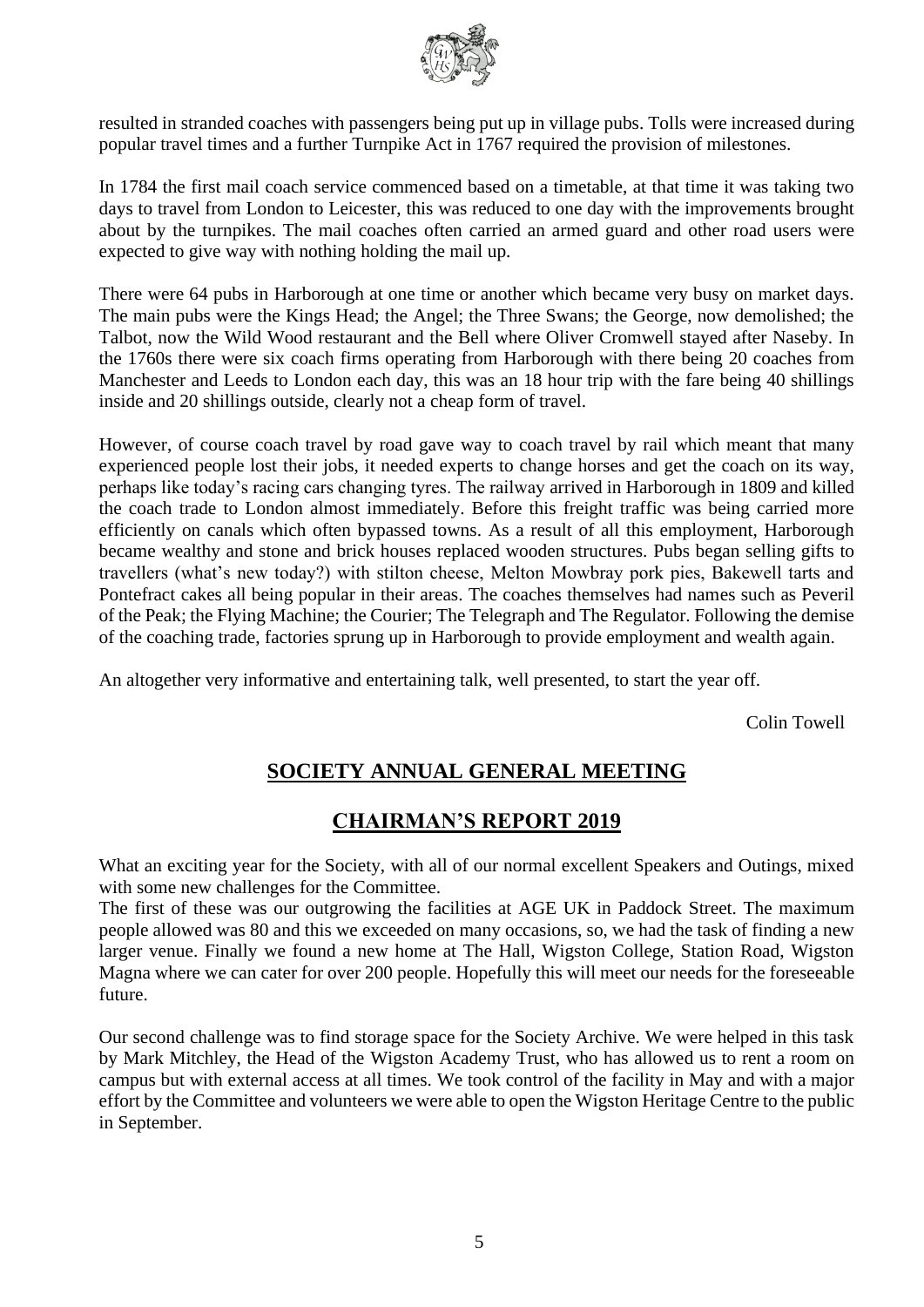

resulted in stranded coaches with passengers being put up in village pubs. Tolls were increased during popular travel times and a further Turnpike Act in 1767 required the provision of milestones.

In 1784 the first mail coach service commenced based on a timetable, at that time it was taking two days to travel from London to Leicester, this was reduced to one day with the improvements brought about by the turnpikes. The mail coaches often carried an armed guard and other road users were expected to give way with nothing holding the mail up.

There were 64 pubs in Harborough at one time or another which became very busy on market days. The main pubs were the Kings Head; the Angel; the Three Swans; the George, now demolished; the Talbot, now the Wild Wood restaurant and the Bell where Oliver Cromwell stayed after Naseby. In the 1760s there were six coach firms operating from Harborough with there being 20 coaches from Manchester and Leeds to London each day, this was an 18 hour trip with the fare being 40 shillings inside and 20 shillings outside, clearly not a cheap form of travel.

However, of course coach travel by road gave way to coach travel by rail which meant that many experienced people lost their jobs, it needed experts to change horses and get the coach on its way, perhaps like today's racing cars changing tyres. The railway arrived in Harborough in 1809 and killed the coach trade to London almost immediately. Before this freight traffic was being carried more efficiently on canals which often bypassed towns. As a result of all this employment, Harborough became wealthy and stone and brick houses replaced wooden structures. Pubs began selling gifts to travellers (what's new today?) with stilton cheese, Melton Mowbray pork pies, Bakewell tarts and Pontefract cakes all being popular in their areas. The coaches themselves had names such as Peveril of the Peak; the Flying Machine; the Courier; The Telegraph and The Regulator. Following the demise of the coaching trade, factories sprung up in Harborough to provide employment and wealth again.

An altogether very informative and entertaining talk, well presented, to start the year off.

Colin Towell

# **SOCIETY ANNUAL GENERAL MEETING**

### **CHAIRMAN'S REPORT 2019**

What an exciting year for the Society, with all of our normal excellent Speakers and Outings, mixed with some new challenges for the Committee.

The first of these was our outgrowing the facilities at AGE UK in Paddock Street. The maximum people allowed was 80 and this we exceeded on many occasions, so, we had the task of finding a new larger venue. Finally we found a new home at The Hall, Wigston College, Station Road, Wigston Magna where we can cater for over 200 people. Hopefully this will meet our needs for the foreseeable future.

Our second challenge was to find storage space for the Society Archive. We were helped in this task by Mark Mitchley, the Head of the Wigston Academy Trust, who has allowed us to rent a room on campus but with external access at all times. We took control of the facility in May and with a major effort by the Committee and volunteers we were able to open the Wigston Heritage Centre to the public in September.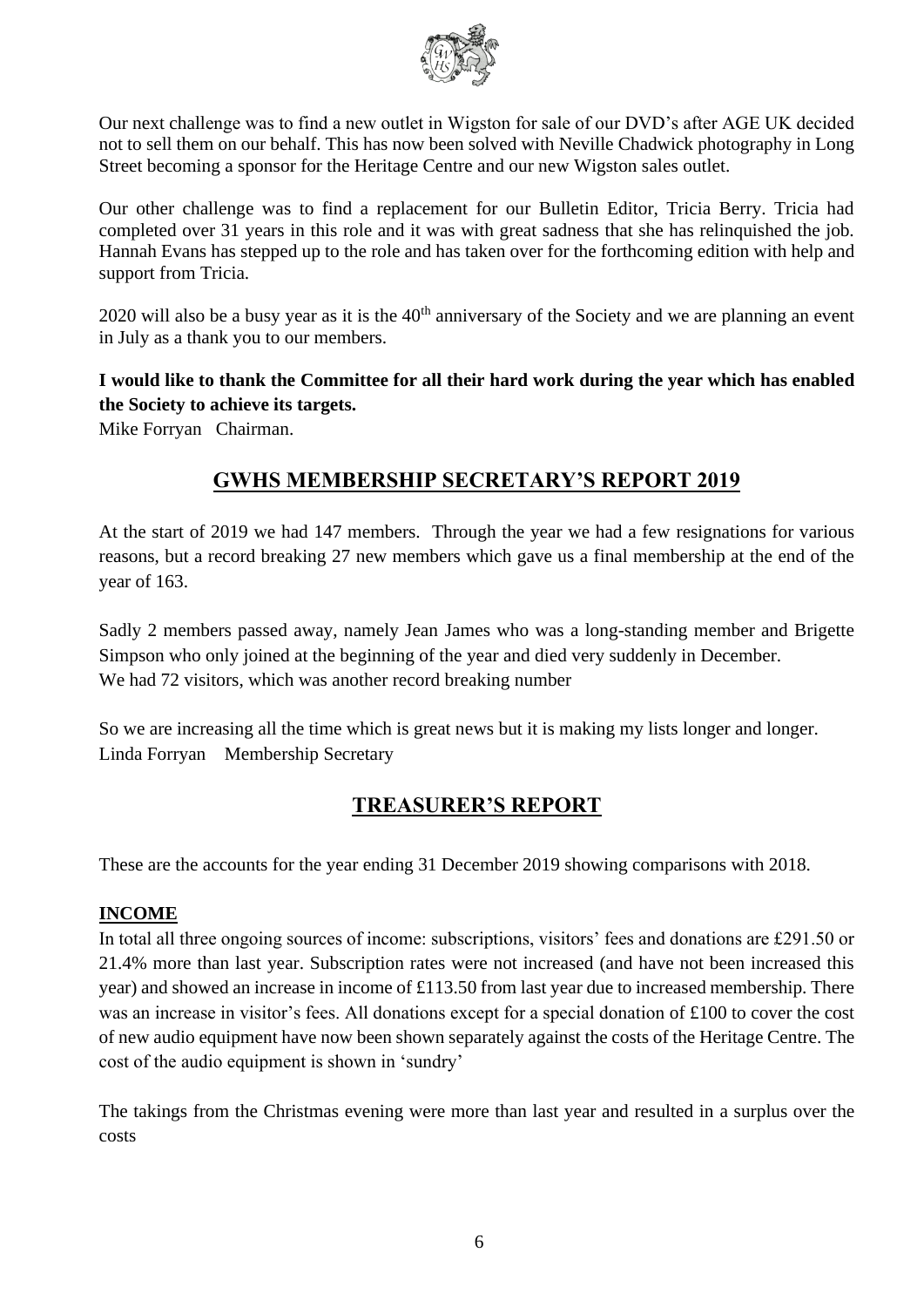

Our next challenge was to find a new outlet in Wigston for sale of our DVD's after AGE UK decided not to sell them on our behalf. This has now been solved with Neville Chadwick photography in Long Street becoming a sponsor for the Heritage Centre and our new Wigston sales outlet.

Our other challenge was to find a replacement for our Bulletin Editor, Tricia Berry. Tricia had completed over 31 years in this role and it was with great sadness that she has relinquished the job. Hannah Evans has stepped up to the role and has taken over for the forthcoming edition with help and support from Tricia.

 $2020$  will also be a busy year as it is the  $40<sup>th</sup>$  anniversary of the Society and we are planning an event in July as a thank you to our members.

**I would like to thank the Committee for all their hard work during the year which has enabled the Society to achieve its targets.**

Mike Forryan Chairman.

# **GWHS MEMBERSHIP SECRETARY'S REPORT 2019**

At the start of 2019 we had 147 members. Through the year we had a few resignations for various reasons, but a record breaking 27 new members which gave us a final membership at the end of the year of 163.

Sadly 2 members passed away, namely Jean James who was a long-standing member and Brigette Simpson who only joined at the beginning of the year and died very suddenly in December. We had 72 visitors, which was another record breaking number

So we are increasing all the time which is great news but it is making my lists longer and longer. Linda Forryan Membership Secretary

# **TREASURER'S REPORT**

These are the accounts for the year ending 31 December 2019 showing comparisons with 2018.

#### **INCOME**

In total all three ongoing sources of income: subscriptions, visitors' fees and donations are £291.50 or 21.4% more than last year. Subscription rates were not increased (and have not been increased this year) and showed an increase in income of £113.50 from last year due to increased membership. There was an increase in visitor's fees. All donations except for a special donation of £100 to cover the cost of new audio equipment have now been shown separately against the costs of the Heritage Centre. The cost of the audio equipment is shown in 'sundry'

The takings from the Christmas evening were more than last year and resulted in a surplus over the costs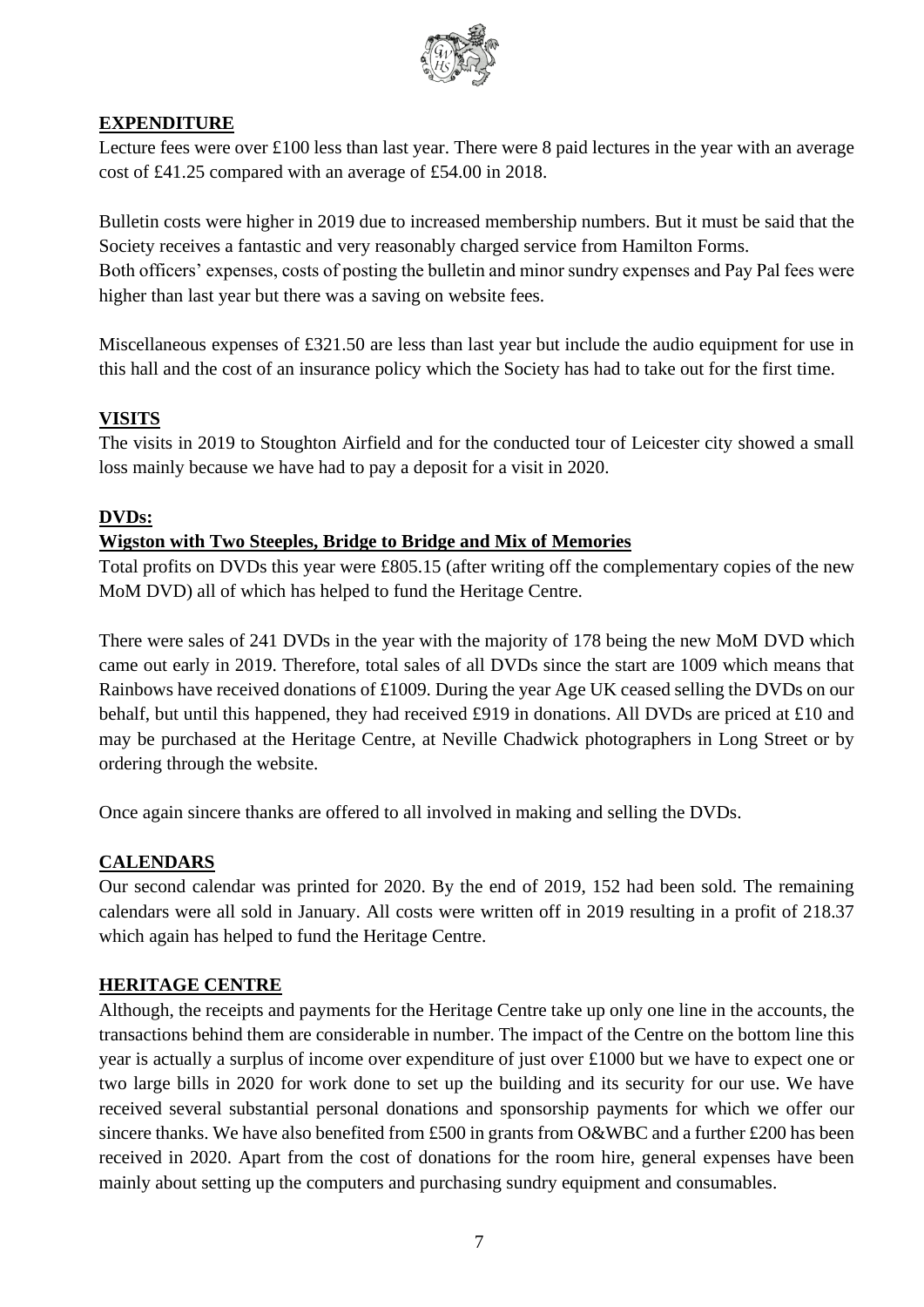

#### **EXPENDITURE**

Lecture fees were over £100 less than last year. There were 8 paid lectures in the year with an average cost of £41.25 compared with an average of £54.00 in 2018.

Bulletin costs were higher in 2019 due to increased membership numbers. But it must be said that the Society receives a fantastic and very reasonably charged service from Hamilton Forms. Both officers' expenses, costs of posting the bulletin and minor sundry expenses and Pay Pal fees were higher than last year but there was a saving on website fees.

Miscellaneous expenses of £321.50 are less than last year but include the audio equipment for use in this hall and the cost of an insurance policy which the Society has had to take out for the first time.

#### **VISITS**

The visits in 2019 to Stoughton Airfield and for the conducted tour of Leicester city showed a small loss mainly because we have had to pay a deposit for a visit in 2020.

#### **DVDs:**

#### **Wigston with Two Steeples, Bridge to Bridge and Mix of Memories**

Total profits on DVDs this year were £805.15 (after writing off the complementary copies of the new MoM DVD) all of which has helped to fund the Heritage Centre.

There were sales of 241 DVDs in the year with the majority of 178 being the new MoM DVD which came out early in 2019. Therefore, total sales of all DVDs since the start are 1009 which means that Rainbows have received donations of £1009. During the year Age UK ceased selling the DVDs on our behalf, but until this happened, they had received £919 in donations. All DVDs are priced at £10 and may be purchased at the Heritage Centre, at Neville Chadwick photographers in Long Street or by ordering through the website.

Once again sincere thanks are offered to all involved in making and selling the DVDs.

### **CALENDARS**

Our second calendar was printed for 2020. By the end of 2019, 152 had been sold. The remaining calendars were all sold in January. All costs were written off in 2019 resulting in a profit of 218.37 which again has helped to fund the Heritage Centre.

### **HERITAGE CENTRE**

Although, the receipts and payments for the Heritage Centre take up only one line in the accounts, the transactions behind them are considerable in number. The impact of the Centre on the bottom line this year is actually a surplus of income over expenditure of just over £1000 but we have to expect one or two large bills in 2020 for work done to set up the building and its security for our use. We have received several substantial personal donations and sponsorship payments for which we offer our sincere thanks. We have also benefited from £500 in grants from O&WBC and a further £200 has been received in 2020. Apart from the cost of donations for the room hire, general expenses have been mainly about setting up the computers and purchasing sundry equipment and consumables.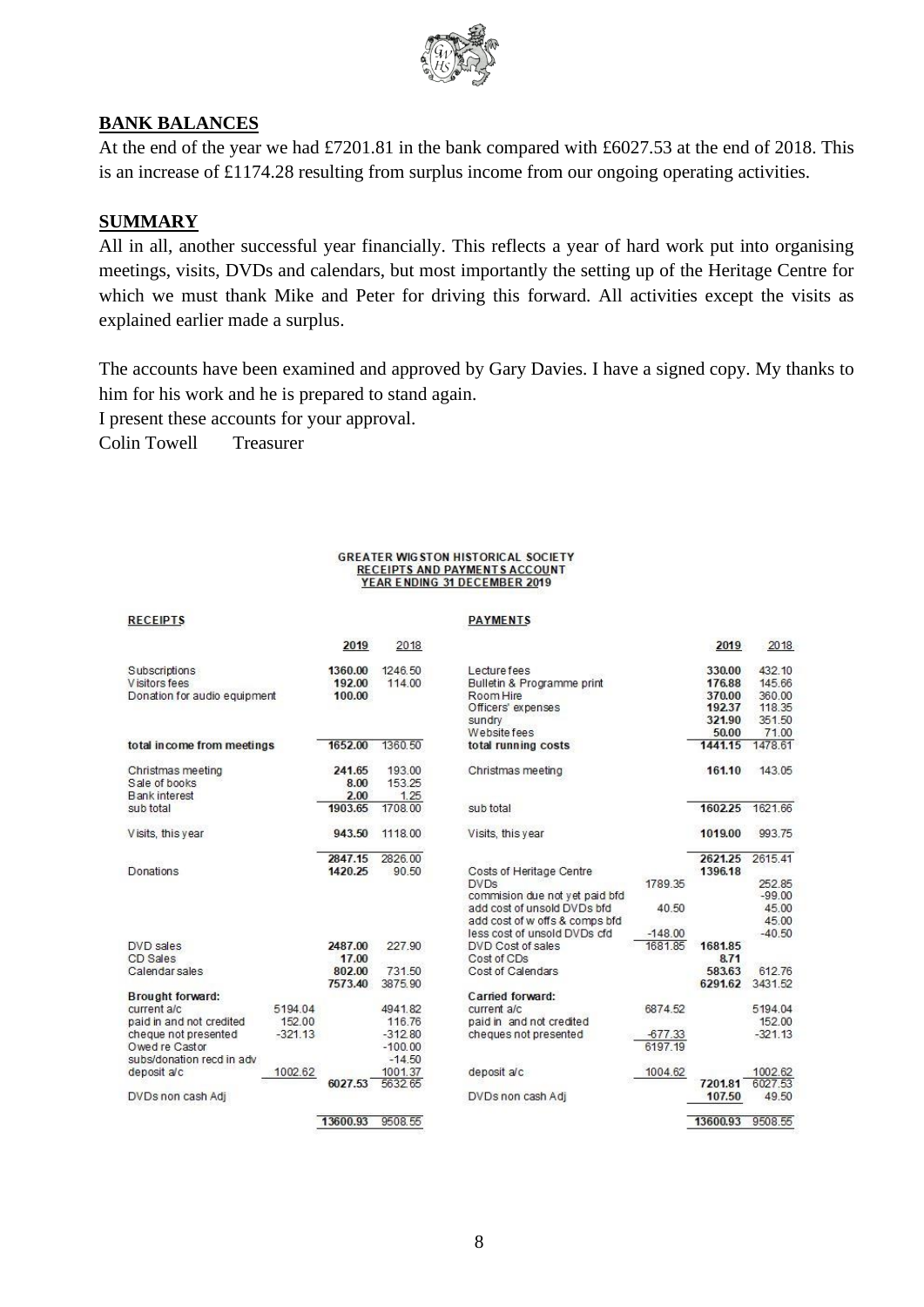

#### **BANK BALANCES**

At the end of the year we had £7201.81 in the bank compared with £6027.53 at the end of 2018. This is an increase of £1174.28 resulting from surplus income from our ongoing operating activities.

#### **SUMMARY**

All in all, another successful year financially. This reflects a year of hard work put into organising meetings, visits, DVDs and calendars, but most importantly the setting up of the Heritage Centre for which we must thank Mike and Peter for driving this forward. All activities except the visits as explained earlier made a surplus.

The accounts have been examined and approved by Gary Davies. I have a signed copy. My thanks to him for his work and he is prepared to stand again.

I present these accounts for your approval.

Colin Towell Treasurer

#### **GREATER WIGSTON HISTORICAL SOCIETY RECEIPTS AND PAYMENTS ACCOUNT** YEAR ENDING 31 DECEMBER 2019

| <b>RECEIPTS</b>              |           |          |           | <b>PAYMENTS</b>                |           |          |           |
|------------------------------|-----------|----------|-----------|--------------------------------|-----------|----------|-----------|
|                              |           | 2019     | 2018      |                                |           | 2019     | 2018      |
| Subscriptions                |           | 1360.00  | 1246.50   | Lecture fees                   |           | 330.00   | 432.10    |
| V isitors fees               |           | 192.00   | 114.00    | Bulletin & Programme print     |           | 176.88   | 145.66    |
| Donation for audio equipment |           | 100.00   |           | Room Hire                      |           | 370.00   | 360.00    |
|                              |           |          |           | Officers' expenses             |           | 192.37   | 118.35    |
|                              |           |          |           | sundry                         |           | 321.90   | 351.50    |
|                              |           |          |           | Website fees                   |           | 50.00    | 71.00     |
| total income from meetings   |           | 1652.00  | 1360.50   | total running costs            |           | 1441.15  | 1478.61   |
| Christmas meeting            |           | 241.65   | 193.00    | Christmas meeting              |           | 161.10   | 143.05    |
| Sale of books                |           | 8.00     | 153.25    |                                |           |          |           |
| <b>Bank interest</b>         |           | 2.00     | 1.25      |                                |           |          |           |
| sub total                    |           | 1903.65  | 1708.00   | sub total                      |           | 1602.25  | 1621.66   |
| Visits, this year            |           | 943.50   | 1118.00   | Visits, this year              |           | 1019.00  | 993.75    |
|                              |           | 2847.15  | 2826.00   |                                |           | 2621.25  | 2615.41   |
| Donations                    |           | 1420.25  | 90.50     | Costs of Heritage Centre       |           | 1396.18  |           |
|                              |           |          |           | <b>DVDs</b>                    | 1789.35   |          | 252.85    |
|                              |           |          |           | commision due not yet paid bfd |           |          | $-99.00$  |
|                              |           |          |           | add cost of unsold DVDs bfd    | 40.50     |          | 45.00     |
|                              |           |          |           | add cost of w offs & comps bfd |           |          | 45.00     |
|                              |           |          |           | less cost of unsold DVDs cfd   | $-148.00$ |          | $-40.50$  |
| DVD sales                    |           | 2487.00  | 227.90    | DVD Cost of sales              | 1681.85   | 1681.85  |           |
| CD Sales                     |           | 17.00    |           | Cost of CDs                    |           | 8.71     |           |
| Calendar sales               |           | 802.00   | 731.50    | Cost of Calendars              |           | 583.63   | 612.76    |
|                              |           | 7573.40  | 3875.90   |                                |           | 6291.62  | 3431.52   |
| Brought forward:             |           |          |           | Carried forward:               |           |          |           |
| current a/c                  | 5194.04   |          | 4941.82   | current a/c                    | 6874.52   |          | 5194.04   |
| paid in and not credited     | 152.00    |          | 116.76    | paid in and not credited       |           |          | 152.00    |
| cheque not presented         | $-321.13$ |          | $-312.80$ | cheques not presented          | $-677.33$ |          | $-321.13$ |
| Owed re Castor               |           |          | $-100.00$ |                                | 6197.19   |          |           |
| subs/donation recd in adv    |           |          | $-14.50$  |                                |           |          |           |
| deposit a/c                  | 1002.62   |          | 1001.37   | deposit a/c                    | 1004.62   |          | 1002.62   |
|                              |           | 6027.53  | 5632.65   |                                |           | 7201.81  | 6027.53   |
| DVDs non cash Adj            |           |          |           | DVDs non cash Adj              |           | 107.50   | 49.50     |
|                              |           | 13600.93 | 9508.55   |                                |           | 13600.93 | 9508.55   |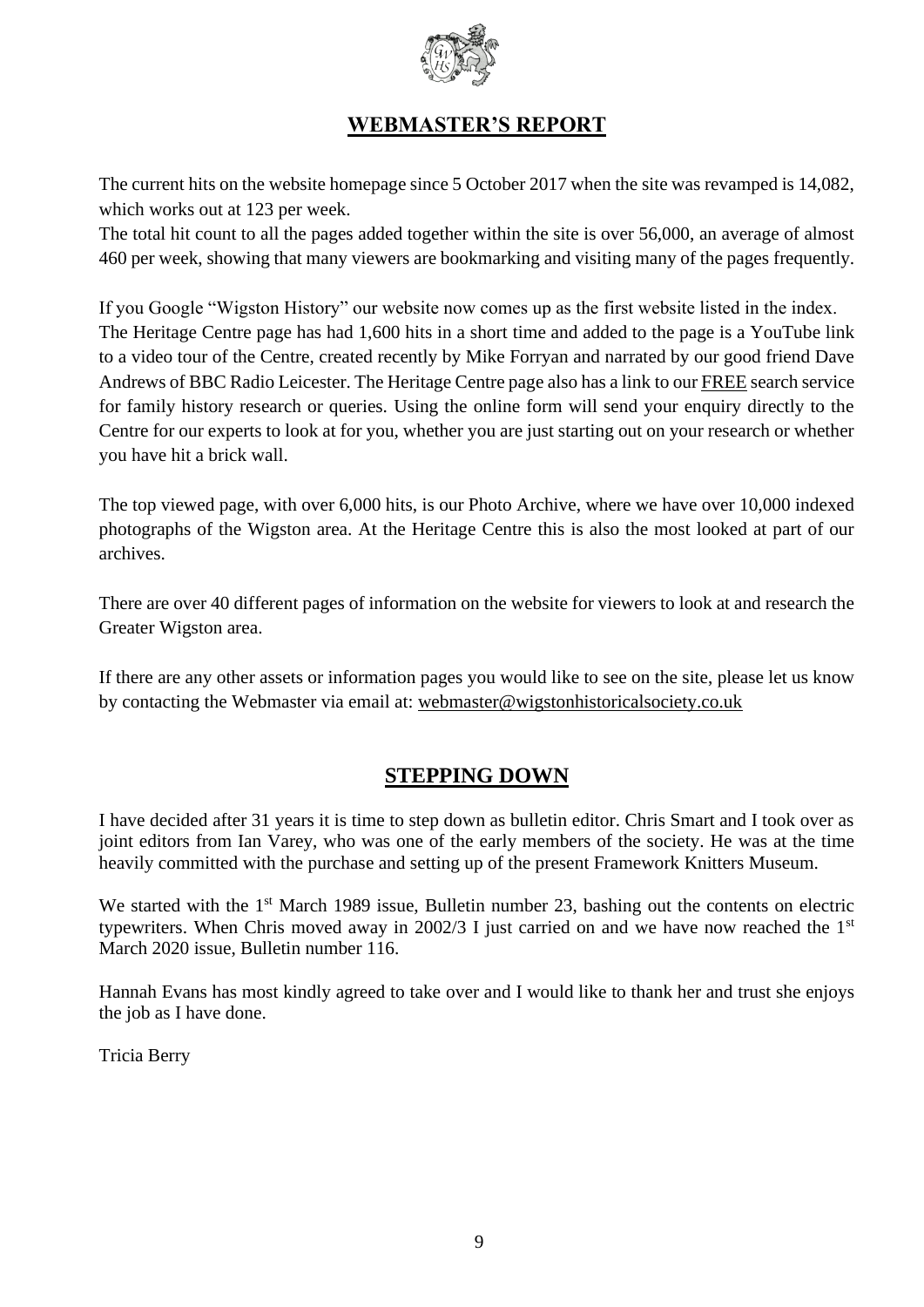

# **WEBMASTER'S REPORT**

The current hits on the website homepage since 5 October 2017 when the site was revamped is 14,082, which works out at 123 per week.

The total hit count to all the pages added together within the site is over 56,000, an average of almost 460 per week, showing that many viewers are bookmarking and visiting many of the pages frequently.

If you Google "Wigston History" our website now comes up as the first website listed in the index. The Heritage Centre page has had 1,600 hits in a short time and added to the page is a YouTube link to a video tour of the Centre, created recently by Mike Forryan and narrated by our good friend Dave Andrews of BBC Radio Leicester. The Heritage Centre page also has a link to our FREE search service for family history research or queries. Using the online form will send your enquiry directly to the Centre for our experts to look at for you, whether you are just starting out on your research or whether you have hit a brick wall.

The top viewed page, with over 6,000 hits, is our Photo Archive, where we have over 10,000 indexed photographs of the Wigston area. At the Heritage Centre this is also the most looked at part of our archives.

There are over 40 different pages of information on the website for viewers to look at and research the Greater Wigston area.

If there are any other assets or information pages you would like to see on the site, please let us know by contacting the Webmaster via email at: webmaster@wigstonhistoricalsociety.co.uk

# **STEPPING DOWN**

I have decided after 31 years it is time to step down as bulletin editor. Chris Smart and I took over as joint editors from Ian Varey, who was one of the early members of the society. He was at the time heavily committed with the purchase and setting up of the present Framework Knitters Museum.

We started with the 1<sup>st</sup> March 1989 issue, Bulletin number 23, bashing out the contents on electric typewriters. When Chris moved away in 2002/3 I just carried on and we have now reached the  $1<sup>st</sup>$ March 2020 issue, Bulletin number 116.

Hannah Evans has most kindly agreed to take over and I would like to thank her and trust she enjoys the job as I have done.

Tricia Berry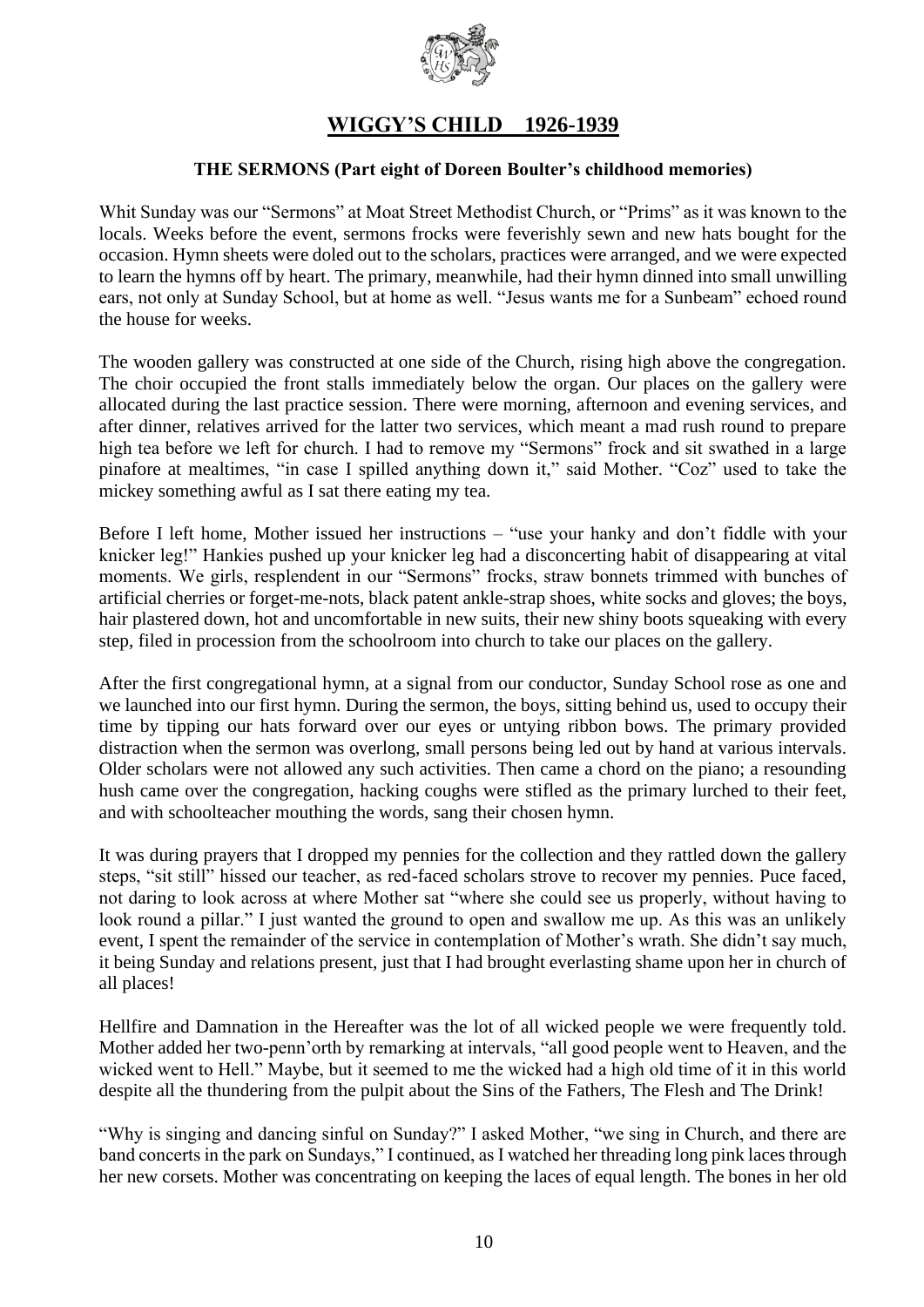

# **WIGGY'S CHILD 1926-1939**

#### **THE SERMONS (Part eight of Doreen Boulter's childhood memories)**

Whit Sunday was our "Sermons" at Moat Street Methodist Church, or "Prims" as it was known to the locals. Weeks before the event, sermons frocks were feverishly sewn and new hats bought for the occasion. Hymn sheets were doled out to the scholars, practices were arranged, and we were expected to learn the hymns off by heart. The primary, meanwhile, had their hymn dinned into small unwilling ears, not only at Sunday School, but at home as well. "Jesus wants me for a Sunbeam" echoed round the house for weeks.

The wooden gallery was constructed at one side of the Church, rising high above the congregation. The choir occupied the front stalls immediately below the organ. Our places on the gallery were allocated during the last practice session. There were morning, afternoon and evening services, and after dinner, relatives arrived for the latter two services, which meant a mad rush round to prepare high tea before we left for church. I had to remove my "Sermons" frock and sit swathed in a large pinafore at mealtimes, "in case I spilled anything down it," said Mother. "Coz" used to take the mickey something awful as I sat there eating my tea.

Before I left home, Mother issued her instructions – "use your hanky and don't fiddle with your knicker leg!" Hankies pushed up your knicker leg had a disconcerting habit of disappearing at vital moments. We girls, resplendent in our "Sermons" frocks, straw bonnets trimmed with bunches of artificial cherries or forget-me-nots, black patent ankle-strap shoes, white socks and gloves; the boys, hair plastered down, hot and uncomfortable in new suits, their new shiny boots squeaking with every step, filed in procession from the schoolroom into church to take our places on the gallery.

After the first congregational hymn, at a signal from our conductor, Sunday School rose as one and we launched into our first hymn. During the sermon, the boys, sitting behind us, used to occupy their time by tipping our hats forward over our eyes or untying ribbon bows. The primary provided distraction when the sermon was overlong, small persons being led out by hand at various intervals. Older scholars were not allowed any such activities. Then came a chord on the piano; a resounding hush came over the congregation, hacking coughs were stifled as the primary lurched to their feet, and with schoolteacher mouthing the words, sang their chosen hymn.

It was during prayers that I dropped my pennies for the collection and they rattled down the gallery steps, "sit still" hissed our teacher, as red-faced scholars strove to recover my pennies. Puce faced, not daring to look across at where Mother sat "where she could see us properly, without having to look round a pillar." I just wanted the ground to open and swallow me up. As this was an unlikely event, I spent the remainder of the service in contemplation of Mother's wrath. She didn't say much, it being Sunday and relations present, just that I had brought everlasting shame upon her in church of all places!

Hellfire and Damnation in the Hereafter was the lot of all wicked people we were frequently told. Mother added her two-penn'orth by remarking at intervals, "all good people went to Heaven, and the wicked went to Hell." Maybe, but it seemed to me the wicked had a high old time of it in this world despite all the thundering from the pulpit about the Sins of the Fathers, The Flesh and The Drink!

"Why is singing and dancing sinful on Sunday?" I asked Mother, "we sing in Church, and there are band concerts in the park on Sundays," I continued, as I watched her threading long pink laces through her new corsets. Mother was concentrating on keeping the laces of equal length. The bones in her old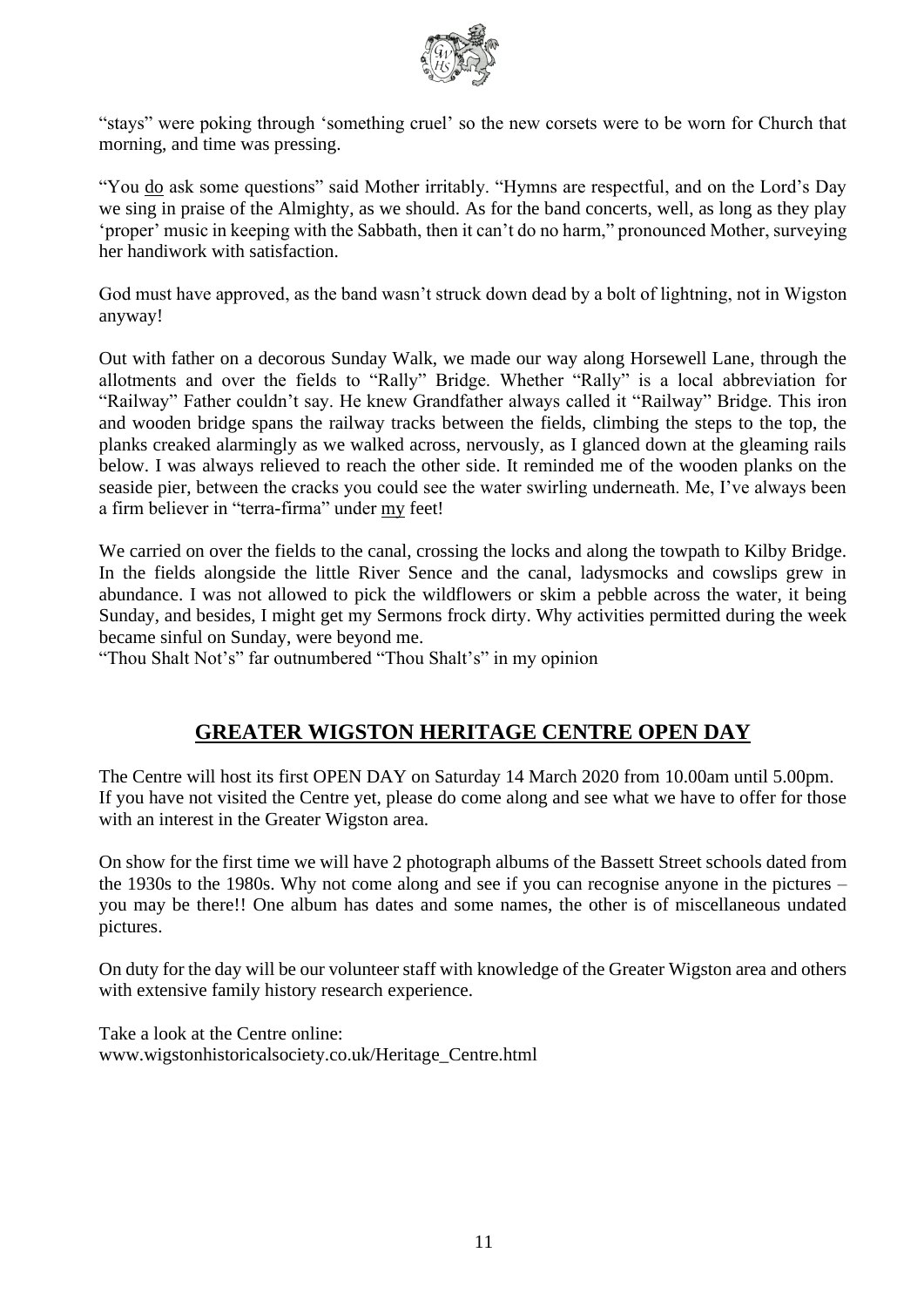

"stays" were poking through 'something cruel' so the new corsets were to be worn for Church that morning, and time was pressing.

"You do ask some questions" said Mother irritably. "Hymns are respectful, and on the Lord's Day we sing in praise of the Almighty, as we should. As for the band concerts, well, as long as they play 'proper' music in keeping with the Sabbath, then it can't do no harm," pronounced Mother, surveying her handiwork with satisfaction.

God must have approved, as the band wasn't struck down dead by a bolt of lightning, not in Wigston anyway!

Out with father on a decorous Sunday Walk, we made our way along Horsewell Lane, through the allotments and over the fields to "Rally" Bridge. Whether "Rally" is a local abbreviation for "Railway" Father couldn't say. He knew Grandfather always called it "Railway" Bridge. This iron and wooden bridge spans the railway tracks between the fields, climbing the steps to the top, the planks creaked alarmingly as we walked across, nervously, as I glanced down at the gleaming rails below. I was always relieved to reach the other side. It reminded me of the wooden planks on the seaside pier, between the cracks you could see the water swirling underneath. Me, I've always been a firm believer in "terra-firma" under my feet!

We carried on over the fields to the canal, crossing the locks and along the towpath to Kilby Bridge. In the fields alongside the little River Sence and the canal, ladysmocks and cowslips grew in abundance. I was not allowed to pick the wildflowers or skim a pebble across the water, it being Sunday, and besides, I might get my Sermons frock dirty. Why activities permitted during the week became sinful on Sunday, were beyond me.

"Thou Shalt Not's" far outnumbered "Thou Shalt's" in my opinion

# **GREATER WIGSTON HERITAGE CENTRE OPEN DAY**

The Centre will host its first OPEN DAY on Saturday 14 March 2020 from 10.00am until 5.00pm. If you have not visited the Centre yet, please do come along and see what we have to offer for those with an interest in the Greater Wigston area.

On show for the first time we will have 2 photograph albums of the Bassett Street schools dated from the 1930s to the 1980s. Why not come along and see if you can recognise anyone in the pictures – you may be there!! One album has dates and some names, the other is of miscellaneous undated pictures.

On duty for the day will be our volunteer staff with knowledge of the Greater Wigston area and others with extensive family history research experience.

Take a look at the Centre online: www.wigstonhistoricalsociety.co.uk/Heritage\_Centre.html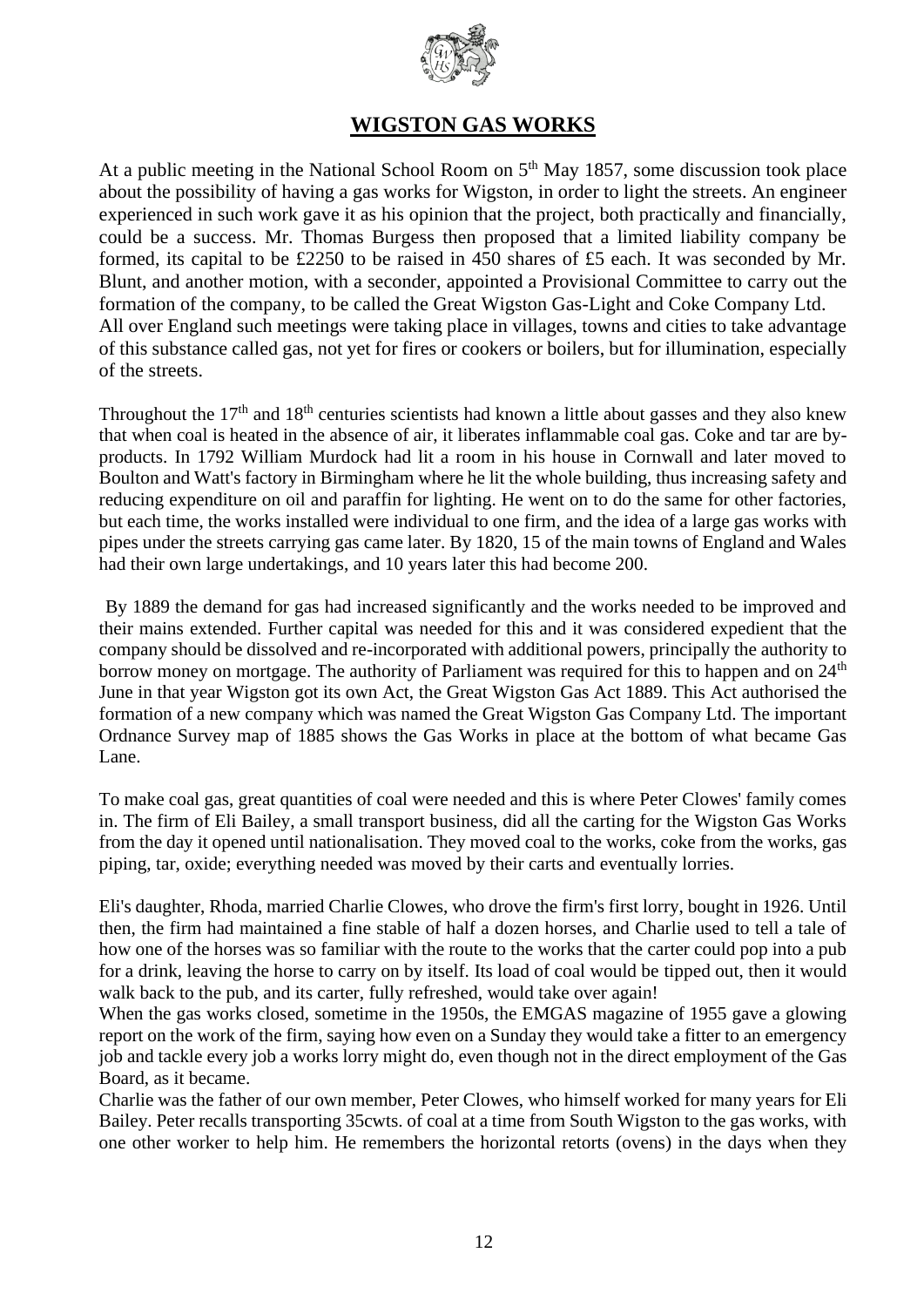

# **WIGSTON GAS WORKS**

At a public meeting in the National School Room on  $5<sup>th</sup>$  May 1857, some discussion took place about the possibility of having a gas works for Wigston, in order to light the streets. An engineer experienced in such work gave it as his opinion that the project, both practically and financially, could be a success. Mr. Thomas Burgess then proposed that a limited liability company be formed, its capital to be £2250 to be raised in 450 shares of £5 each. It was seconded by Mr. Blunt, and another motion, with a seconder, appointed a Provisional Committee to carry out the formation of the company, to be called the Great Wigston Gas-Light and Coke Company Ltd. All over England such meetings were taking place in villages, towns and cities to take advantage of this substance called gas, not yet for fires or cookers or boilers, but for illumination, especially of the streets.

Throughout the  $17<sup>th</sup>$  and  $18<sup>th</sup>$  centuries scientists had known a little about gasses and they also knew that when coal is heated in the absence of air, it liberates inflammable coal gas. Coke and tar are byproducts. In 1792 William Murdock had lit a room in his house in Cornwall and later moved to Boulton and Watt's factory in Birmingham where he lit the whole building, thus increasing safety and reducing expenditure on oil and paraffin for lighting. He went on to do the same for other factories, but each time, the works installed were individual to one firm, and the idea of a large gas works with pipes under the streets carrying gas came later. By 1820, 15 of the main towns of England and Wales had their own large undertakings, and 10 years later this had become 200.

By 1889 the demand for gas had increased significantly and the works needed to be improved and their mains extended. Further capital was needed for this and it was considered expedient that the company should be dissolved and re-incorporated with additional powers, principally the authority to borrow money on mortgage. The authority of Parliament was required for this to happen and on  $24<sup>th</sup>$ June in that year Wigston got its own Act, the Great Wigston Gas Act 1889. This Act authorised the formation of a new company which was named the Great Wigston Gas Company Ltd. The important Ordnance Survey map of 1885 shows the Gas Works in place at the bottom of what became Gas Lane.

To make coal gas, great quantities of coal were needed and this is where Peter Clowes' family comes in. The firm of Eli Bailey, a small transport business, did all the carting for the Wigston Gas Works from the day it opened until nationalisation. They moved coal to the works, coke from the works, gas piping, tar, oxide; everything needed was moved by their carts and eventually lorries.

Eli's daughter, Rhoda, married Charlie Clowes, who drove the firm's first lorry, bought in 1926. Until then, the firm had maintained a fine stable of half a dozen horses, and Charlie used to tell a tale of how one of the horses was so familiar with the route to the works that the carter could pop into a pub for a drink, leaving the horse to carry on by itself. Its load of coal would be tipped out, then it would walk back to the pub, and its carter, fully refreshed, would take over again!

When the gas works closed, sometime in the 1950s, the EMGAS magazine of 1955 gave a glowing report on the work of the firm, saying how even on a Sunday they would take a fitter to an emergency job and tackle every job a works lorry might do, even though not in the direct employment of the Gas Board, as it became.

Charlie was the father of our own member, Peter Clowes, who himself worked for many years for Eli Bailey. Peter recalls transporting 35cwts. of coal at a time from South Wigston to the gas works, with one other worker to help him. He remembers the horizontal retorts (ovens) in the days when they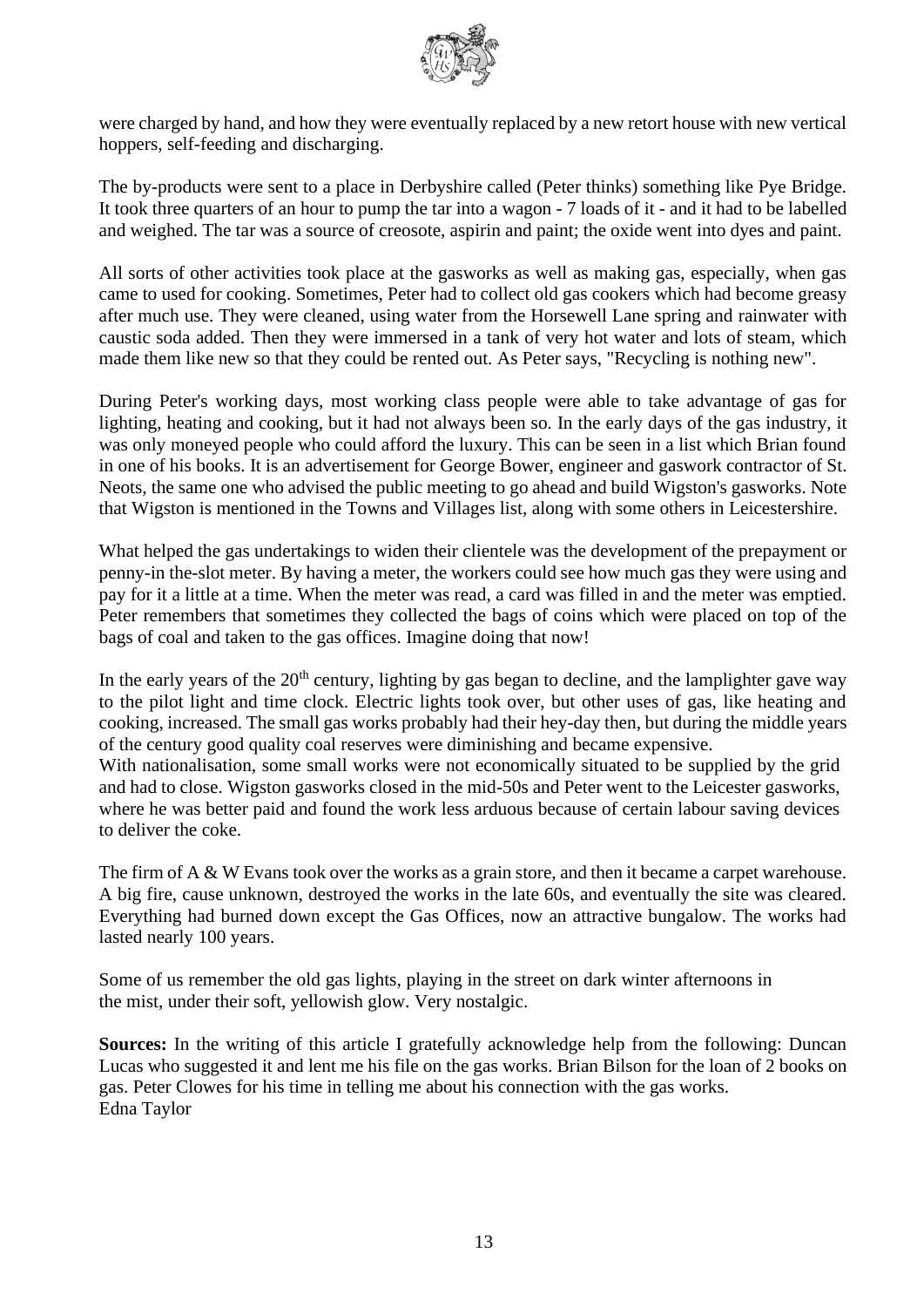

were charged by hand, and how they were eventually replaced by a new retort house with new vertical hoppers, self-feeding and discharging.

The by-products were sent to a place in Derbyshire called (Peter thinks) something like Pye Bridge. It took three quarters of an hour to pump the tar into a wagon - 7 loads of it - and it had to be labelled and weighed. The tar was a source of creosote, aspirin and paint; the oxide went into dyes and paint.

All sorts of other activities took place at the gasworks as well as making gas, especially, when gas came to used for cooking. Sometimes, Peter had to collect old gas cookers which had become greasy after much use. They were cleaned, using water from the Horsewell Lane spring and rainwater with caustic soda added. Then they were immersed in a tank of very hot water and lots of steam, which made them like new so that they could be rented out. As Peter says, "Recycling is nothing new".

During Peter's working days, most working class people were able to take advantage of gas for lighting, heating and cooking, but it had not always been so. In the early days of the gas industry, it was only moneyed people who could afford the luxury. This can be seen in a list which Brian found in one of his books. It is an advertisement for George Bower, engineer and gaswork contractor of St. Neots, the same one who advised the public meeting to go ahead and build Wigston's gasworks. Note that Wigston is mentioned in the Towns and Villages list, along with some others in Leicestershire.

What helped the gas undertakings to widen their clientele was the development of the prepayment or penny-in the-slot meter. By having a meter, the workers could see how much gas they were using and pay for it a little at a time. When the meter was read, a card was filled in and the meter was emptied. Peter remembers that sometimes they collected the bags of coins which were placed on top of the bags of coal and taken to the gas offices. Imagine doing that now!

In the early years of the  $20<sup>th</sup>$  century, lighting by gas began to decline, and the lamplighter gave way to the pilot light and time clock. Electric lights took over, but other uses of gas, like heating and cooking, increased. The small gas works probably had their hey-day then, but during the middle years of the century good quality coal reserves were diminishing and became expensive.

With nationalisation, some small works were not economically situated to be supplied by the grid and had to close. Wigston gasworks closed in the mid-50s and Peter went to the Leicester gasworks, where he was better paid and found the work less arduous because of certain labour saving devices to deliver the coke.

The firm of A & W Evans took over the works as a grain store, and then it became a carpet warehouse. A big fire, cause unknown, destroyed the works in the late 60s, and eventually the site was cleared. Everything had burned down except the Gas Offices, now an attractive bungalow. The works had lasted nearly 100 years.

Some of us remember the old gas lights, playing in the street on dark winter afternoons in the mist, under their soft, yellowish glow. Very nostalgic.

**Sources:** In the writing of this article I gratefully acknowledge help from the following: Duncan Lucas who suggested it and lent me his file on the gas works. Brian Bilson for the loan of 2 books on gas. Peter Clowes for his time in telling me about his connection with the gas works. Edna Taylor